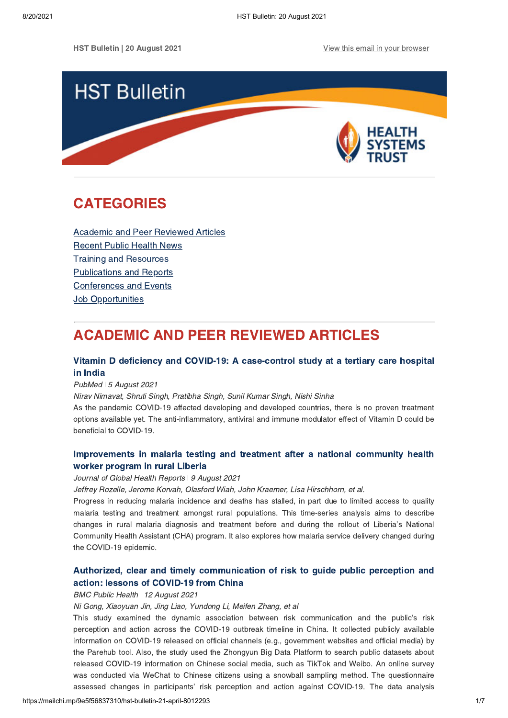HST Bulletin | 20 August 2021 [View this email in your browser](https://mailchi.mp/9e5f56837310/hst-bulletin-21-april-8012293?e=[UNIQID])



# <span id="page-0-1"></span>CATEGORIES

[Academic and Peer Reviewed Articles](#page-0-0) [Recent Public Health News](#page-1-0) Training and Resources [Publications and Reports](#page-4-0) Conferences and Events **[Job Opportunities](#page-5-0)** 

# <span id="page-0-0"></span>ACADEMIC AND PEER REVIEWED ARTICLES

## Vitamin D deficiency and COVID-19: A [case-control study at a tertiary care hospital](https://pubmed.ncbi.nlm.nih.gov/34377451/) in India

#### PubMed ǀ 5 August 2021

Nirav Nimavat, Shruti Singh, Pratibha Singh, Sunil Kumar Singh, Nishi Sinha

As the pandemic COVID-19 affected developing and developed countries, there is no proven treatment options available yet. The anti-inflammatory, antiviral and immune modulator effect of Vitamin D could be beneficial to COVID-19.

# [Improvements in malaria testing and treatment after a national community health](https://www.joghr.org/article/25979-improvements-in-malaria-testing-and-treatment-after-a-national-community-health-worker-program-in-rural-liberia) worker program in rural Liberia

#### Journal of Global Health Reports | 9 August 2021

Jeffrey Rozelle, Jerome Korvah, Olasford Wiah, John Kraemer, Lisa Hirschhorn, et al.

Progress in reducing malaria incidence and deaths has stalled, in part due to limited access to quality malaria testing and treatment amongst rural populations. This time-series analysis aims to describe changes in rural malaria diagnosis and treatment before and during the rollout of Liberia's National Community Health Assistant (CHA) program. It also explores how malaria service delivery changed during the COVID-19 epidemic.

# [Authorized, clear and timely communication of risk to guide public perception and](https://bmcpublichealth.biomedcentral.com/articles/10.1186/s12889-021-11103-1) action: lessons of COVID-19 from China

#### BMC Public Health | 12 August 2021

Ni Gong, Xiaoyuan Jin, Jing Liao, Yundong Li, Meifen Zhang, et al

This study examined the dynamic association between risk communication and the public's risk perception and action across the COVID-19 outbreak timeline in China. It collected publicly available information on COVID-19 released on official channels (e.g., government websites and official media) by the Parehub tool. Also, the study used the Zhongyun Big Data Platform to search public datasets about released COVID-19 information on Chinese social media, such as TikTok and Weibo. An online survey was conducted via WeChat to Chinese citizens using a snowball sampling method. The questionnaire assessed changes in participants' risk perception and action against COVID-19. The data analysis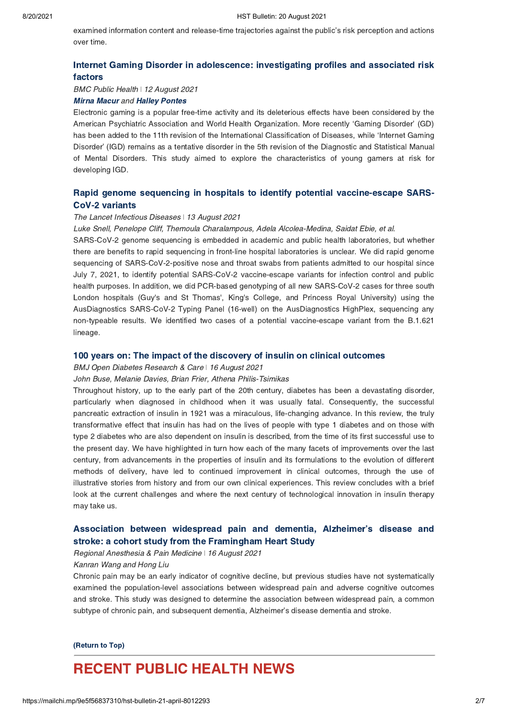examined information content and release-time trajectories against the public's risk perception and actions over time.

## [Internet Gaming Disorder in adolescence: investigating profiles and associated risk](https://bmcpublichealth.biomedcentral.com/articles/10.1186/s12889-021-11394-4) factors

BMC Public Health | 12 August 2021

## [Mirna Macur](https://bmcpublichealth.biomedcentral.com/articles/10.1186/s12889-021-11394-4#auth-Mirna-Macur) and [Halley Pontes](https://bmcpublichealth.biomedcentral.com/articles/10.1186/s12889-021-11394-4#auth-Halley_M_-Pontes)

Electronic gaming is a popular free-time activity and its deleterious effects have been considered by the American Psychiatric Association and World Health Organization. More recently 'Gaming Disorder' (GD) has been added to the 11th revision of the International Classification of Diseases, while 'Internet Gaming Disorder' (IGD) remains as a tentative disorder in the 5th revision of the Diagnostic and Statistical Manual of Mental Disorders. This study aimed to explore the characteristics of young gamers at risk for developing IGD.

## [Rapid genome sequencing in hospitals to identify potential vaccine-escape SARS-](https://www.thelancet.com/journals/laninf/article/PIIS1473-3099(21)00482-5/fulltext)CoV-2 variants

### The Lancet Infectious Diseases | 13 August 2021

#### Luke Snell, Penelope Cliff, Themoula Charalampous, Adela Alcolea-Medina, Saidat Ebie, et al.

SARS-CoV-2 genome sequencing is embedded in academic and public health laboratories, but whether there are benefits to rapid sequencing in front-line hospital laboratories is unclear. We did rapid genome sequencing of SARS-CoV-2-positive nose and throat swabs from patients admitted to our hospital since July 7, 2021, to identify potential SARS-CoV-2 vaccine-escape variants for infection control and public health purposes. In addition, we did PCR-based genotyping of all new SARS-CoV-2 cases for three south London hospitals (Guy's and St Thomas', King's College, and Princess Royal University) using the AusDiagnostics SARS-CoV-2 Typing Panel (16-well) on the AusDiagnostics HighPlex, sequencing any non-typeable results. We identified two cases of a potential vaccine-escape variant from the B.1.621 lineage.

#### [100 years on: The impact of the discovery of insulin on clinical outcomes](https://drc.bmj.com/content/9/1/e002373)

#### BMJ Open Diabetes Research & Care | 16 August 2021

#### John Buse, Melanie Davies, Brian Frier, Athena Philis-Tsimikas

Throughout history, up to the early part of the 20th century, diabetes has been a devastating disorder, particularly when diagnosed in childhood when it was usually fatal. Consequently, the successful pancreatic extraction of insulin in 1921 was a miraculous, life-changing advance. In this review, the truly transformative effect that insulin has had on the lives of people with type 1 diabetes and on those with type 2 diabetes who are also dependent on insulin is described, from the time of its first successful use to the present day. We have highlighted in turn how each of the many facets of improvements over the last century, from advancements in the properties of insulin and its formulations to the evolution of different methods of delivery, have led to continued improvement in clinical outcomes, through the use of illustrative stories from history and from our own clinical experiences. This review concludes with a brief look at the current challenges and where the next century of technological innovation in insulin therapy may take us.

## [Association between widespread pain and dementia, Alzheimer's disease and](https://rapm.bmj.com/content/early/2021/08/02/rapm-2021-102733) stroke: a cohort study from the Framingham Heart Study

#### Regional Anesthesia & Pain Medicine | 16 August 2021

### Kanran Wang and Hong Liu

Chronic pain may be an early indicator of cognitive decline, but previous studies have not systematically examined the population-level associations between widespread pain and adverse cognitive outcomes and stroke. This study was designed to determine the association between widespread pain, a common subtype of chronic pain, and subsequent dementia, Alzheimer's disease dementia and stroke.

#### [\(Return to Top\)](#page-0-1)

# <span id="page-1-0"></span>RECENT PUBLIC HEALTH NEWS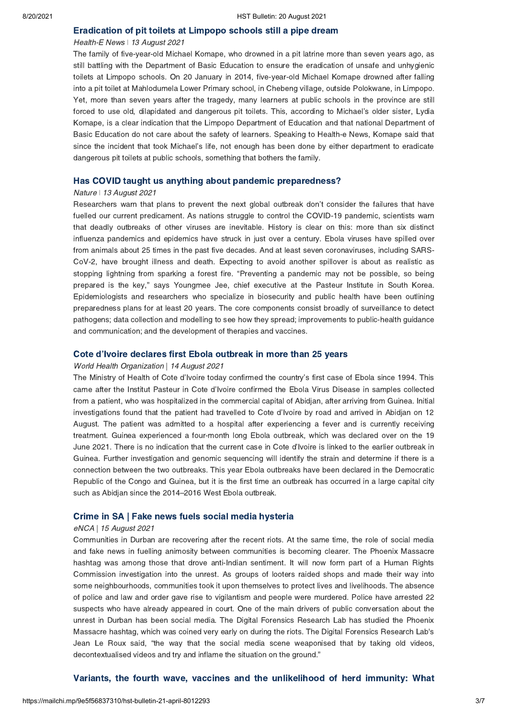#### [Eradication of pit toilets at Limpopo schools still a pipe dream](https://health-e.org.za/2021/08/12/eradication-of-pit-toilets-at-limpopo-schools-still-a-pipe-dream/)

## Health-E News | 13 August 2021

The family of five-year-old Michael Komape, who drowned in a pit latrine more than seven years ago, as still battling with the Department of Basic Education to ensure the eradication of unsafe and unhygienic toilets at Limpopo schools. On 20 January in 2014, five-year-old Michael Komape drowned after falling into a pit toilet at Mahlodumela Lower Primary school, in Chebeng village, outside Polokwane, in Limpopo. Yet, more than seven years after the tragedy, many learners at public schools in the province are still forced to use old, dilapidated and dangerous pit toilets. This, according to Michael's older sister, Lydia Komape, is a clear indication that the Limpopo Department of Education and that national Department of Basic Education do not care about the safety of learners. Speaking to Health-e News, Komape said that since the incident that took Michael's life, not enough has been done by either department to eradicate dangerous pit toilets at public schools, something that bothers the family.

## [Has COVID taught us anything about pandemic preparedness?](https://www.nature.com/articles/d41586-021-02217-y)

## Nature | 13 August 2021

Researchers warn that plans to prevent the next global outbreak don't consider the failures that have fuelled our current predicament. As nations struggle to control the COVID-19 pandemic, scientists warn that deadly outbreaks of other viruses are inevitable. History is clear on this: more than six distinct influenza pandemics and epidemics have struck in just over a century. Ebola viruses have spilled over from animals about 25 times in the past five decades. And at least seven coronaviruses, including SARS-CoV-2, have brought illness and death. Expecting to avoid another spillover is about as realistic as stopping lightning from sparking a forest fire. "Preventing a pandemic may not be possible, so being prepared is the key," says Youngmee Jee, chief executive at the Pasteur Institute in South Korea. Epidemiologists and researchers who specialize in biosecurity and public health have been outlining preparedness plans for at least 20 years. The core components consist broadly of surveillance to detect pathogens; data collection and modelling to see how they spread; improvements to public-health guidance and communication; and the development of therapies and vaccines.

#### [Cote d'Ivoire declares first Ebola outbreak in more than 25 years](https://www.afro.who.int/news/cote-divoire-declares-first-ebola-outbreak-more-25-years)

#### World Health Organization | 14 August 2021

The Ministry of Health of Cote d'Ivoire today confirmed the country's first case of Ebola since 1994. This came after the Institut Pasteur in Cote d'Ivoire confirmed the Ebola Virus Disease in samples collected from a patient, who was hospitalized in the commercial capital of Abidjan, after arriving from Guinea. Initial investigations found that the patient had travelled to Cote d'Ivoire by road and arrived in Abidjan on 12 August. The patient was admitted to a hospital after experiencing a fever and is currently receiving treatment. Guinea experienced a four-month long Ebola outbreak, which was declared over on the 19 June 2021. There is no indication that the current case in Cote d'Ivoire is linked to the earlier outbreak in Guinea. Further investigation and genomic sequencing will identify the strain and determine if there is a connection between the two outbreaks. This year Ebola outbreaks have been declared in the Democratic Republic of the Congo and Guinea, but it is the first time an outbreak has occurred in a large capital city such as Abidjan since the 2014–2016 West Ebola outbreak.

### [Crime in SA | Fake news fuels social media hysteria](https://www.enca.com/news/crime-sa-fake-news-fuels-social-media-hysteria)

#### eNCA | 15 August 2021

Communities in Durban are recovering after the recent riots. At the same time, the role of social media and fake news in fuelling animosity between communities is becoming clearer. The Phoenix Massacre hashtag was among those that drove anti-Indian sentiment. It will now form part of a Human Rights Commission investigation into the unrest. As groups of looters raided shops and made their way into some neighbourhoods, communities took it upon themselves to protect lives and livelihoods. The absence of police and law and order gave rise to vigilantism and people were murdered. Police have arrested 22 suspects who have already appeared in court. One of the main drivers of public conversation about the unrest in Durban has been social media. The Digital Forensics Research Lab has studied the Phoenix Massacre hashtag, which was coined very early on during the riots. The Digital Forensics Research Lab's Jean Le Roux said, "the way that the social media scene weaponised that by taking old videos, decontextualised videos and try and inflame the situation on the ground."

## [Variants, the fourth wave, vaccines and the unlikelihood of herd immunity: What](https://www.dailymaverick.co.za/article/2021-08-15-variants-the-fourth-wave-vaccines-and-the-unlikelihood-of-herd-immunity-what-might-happen-in-south-africa/)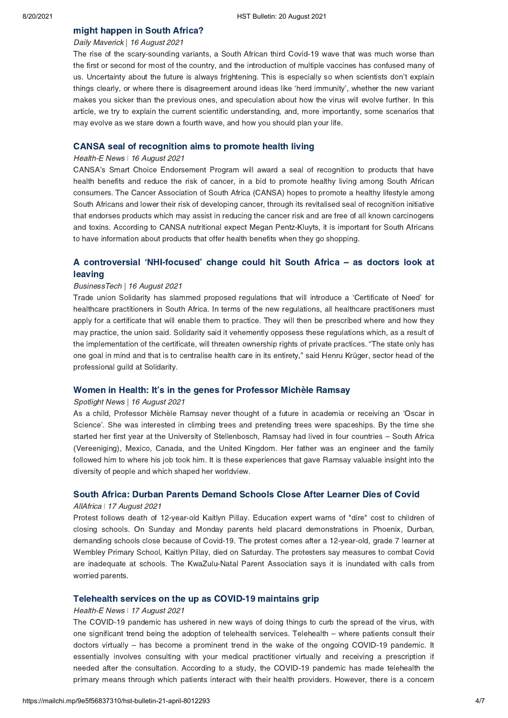# [might happen in South Africa?](https://www.dailymaverick.co.za/article/2021-08-15-variants-the-fourth-wave-vaccines-and-the-unlikelihood-of-herd-immunity-what-might-happen-in-south-africa/)

## Daily Maverick | 16 August 2021

The rise of the scary-sounding variants, a South African third Covid-19 wave that was much worse than the first or second for most of the country, and the introduction of multiple vaccines has confused many of us. Uncertainty about the future is always frightening. This is especially so when scientists don't explain things clearly, or where there is disagreement around ideas like 'herd immunity', whether the new variant makes you sicker than the previous ones, and speculation about how the virus will evolve further. In this article, we try to explain the current scientific understanding, and, more importantly, some scenarios that may evolve as we stare down a fourth wave, and how you should plan your life.

## [CANSA seal of recognition aims to promote health living](https://health-e.org.za/2021/08/16/cansa-seal-of-recognition-aims-to-promote-health-living/)

#### Health-E News | 16 August 2021

CANSA's Smart Choice Endorsement Program will award a seal of recognition to products that have health benefits and reduce the risk of cancer, in a bid to promote healthy living among South African consumers. The Cancer Association of South Africa (CANSA) hopes to promote a healthy lifestyle among South Africans and lower their risk of developing cancer, through its revitalised seal of recognition initiative that endorses products which may assist in reducing the cancer risk and are free of all known carcinogens and toxins. According to CANSA nutritional expect Megan Pentz-Kluyts, it is important for South Africans to have information about products that offer health benefits when they go shopping.

## A controversial 'NHI-focused' [change could hit South Africa –](https://businesstech.co.za/news/lifestyle/513188/a-controversial-nhi-focused-change-could-hit-south-africa-as-doctors-look-at-leaving/) as doctors look at leaving

#### BusinessTech | 16 August 2021

Trade union Solidarity has slammed proposed regulations that will introduce a 'Certificate of Need' for healthcare practitioners in South Africa. In terms of the new regulations, all healthcare practitioners must apply for a certificate that will enable them to practice. They will then be prescribed where and how they may practice, the union said. Solidarity said it vehemently opposess these regulations which, as a result of the implementation of the certificate, will threaten ownership rights of private practices. "The state only has one goal in mind and that is to centralise health care in its entirety," said Henru Krüger, sector head of the professional guild at Solidarity.

## [Women in Health: It's in the genes for Professor Michèle Ramsay](https://www.spotlightnsp.co.za/2021/08/16/women-in-health-its-in-the-genes-for-professor-michele-ramsay/)

#### Spotlight News | 16 August 2021

As a child, Professor Michèle Ramsay never thought of a future in academia or receiving an 'Oscar in Science'. She was interested in climbing trees and pretending trees were spaceships. By the time she started her first year at the University of Stellenbosch, Ramsay had lived in four countries – South Africa (Vereeniging), Mexico, Canada, and the United Kingdom. Her father was an engineer and the family followed him to where his job took him. It is these experiences that gave Ramsay valuable insight into the diversity of people and which shaped her worldview.

## [South Africa: Durban Parents Demand Schools Close After Learner Dies of Covid](https://allafrica.com/stories/202108170437.html)

#### AllAfrica ǀ 17 August 2021

Protest follows death of 12-year-old Kaitlyn Pillay. Education expert warns of "dire" cost to children of closing schools. On Sunday and Monday parents held placard demonstrations in Phoenix, Durban, demanding schools close because of Covid-19. The protest comes after a 12-year-old, grade 7 learner at Wembley Primary School, Kaitlyn Pillay, died on Saturday. The protesters say measures to combat Covid are inadequate at schools. The KwaZulu-Natal Parent Association says it is inundated with calls from worried parents.

### [Telehealth services on the up as COVID-19 maintains grip](https://health-e.org.za/2021/08/17/telehealth-services-on-the-up-as-covid-19-maintains-grip/)

#### Health-E News | 17 August 2021

The COVID-19 pandemic has ushered in new ways of doing things to curb the spread of the virus, with one significant trend being the adoption of telehealth services. Telehealth – where patients consult their doctors virtually – has become a prominent trend in the wake of the ongoing COVID-19 pandemic. It essentially involves consulting with your medical practitioner virtually and receiving a prescription if needed after the consultation. According to a study, the COVID-19 pandemic has made telehealth the primary means through which patients interact with their health providers. However, there is a concern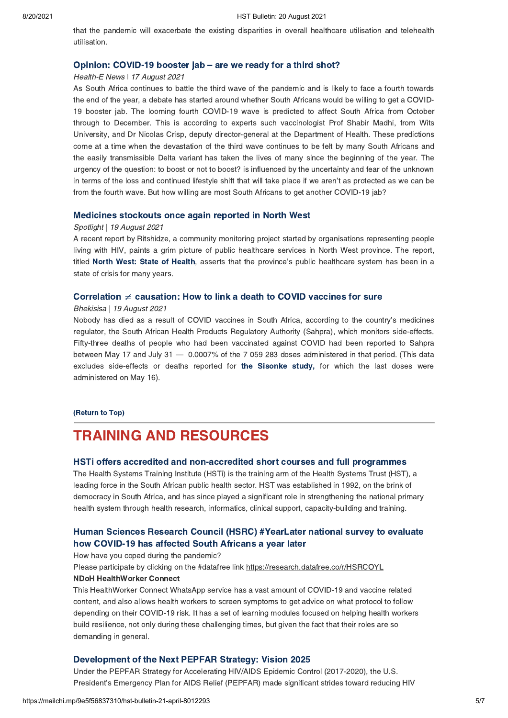that the pandemic will exacerbate the existing disparities in overall healthcare utilisation and telehealth utilisation.

#### [Opinion: COVID-19 booster jab – are we ready for a third shot?](https://health-e.org.za/2021/08/16/opinion-covid-19-booster-jab-are-we-ready-for-a-third-shot/)

#### Health-E News | 17 August 2021

As South Africa continues to battle the third wave of the pandemic and is likely to face a fourth towards the end of the year, a debate has started around whether South Africans would be willing to get a COVID-19 booster jab. The looming fourth COVID-19 wave is predicted to affect South Africa from October through to December. This is according to experts such vaccinologist Prof Shabir Madhi, from Wits University, and Dr Nicolas Crisp, deputy director-general at the Department of Health. These predictions come at a time when the devastation of the third wave continues to be felt by many South Africans and the easily transmissible Delta variant has taken the lives of many since the beginning of the year. The urgency of the question: to boost or not to boost? is influenced by the uncertainty and fear of the unknown in terms of the loss and continued lifestyle shift that will take place if we aren't as protected as we can be from the fourth wave. But how willing are most South Africans to get another COVID-19 jab?

### [Medicines stockouts once again reported in North West](https://www.spotlightnsp.co.za/2021/08/19/medicines-stockouts-once-again-reported-in-north-west/)

#### Spotlight | 19 August 2021

A recent report by Ritshidze, a community monitoring project started by organisations representing people living with HIV, paints a grim picture of public healthcare services in North West province. The report, titled [North West: State of Health,](https://ritshidze.org.za/wp-content/uploads/2021/06/Ritshidze-North-West-State-of-Health-2021.pdf) asserts that the province's public healthcare system has been in a state of crisis for many years.

## Correlation  $\neq$  causation: How to link a death to COVID vaccines for sure

#### Bhekisisa | 19 August 2021

Nobody has died as a result of COVID vaccines in South Africa, according to the country's medicines regulator, the South African Health Products Regulatory Authority (Sahpra), which monitors side-effects. Fifty-three deaths of people who had been vaccinated against COVID had been reported to Sahpra between May 17 and July 31 — 0.0007% of the 7 059 283 doses administered in that period. (This data excludes side-effects or deaths reported for [the Sisonke study,](http://sisonkestudy.samrc.ac.za/) for which the last doses were administered on May 16).

#### [\(Return to Top\)](#page-0-1)

# <span id="page-4-0"></span>TRAINING AND RESOURCES

## [HSTi offers accredited and non-accredited short courses and full programmes](https://www.hstinstitute.co.za/Training)

The Health Systems Training Institute (HSTi) is the training arm of the Health Systems Trust (HST), a leading force in the South African public health sector. HST was established in 1992, on the brink of democracy in South Africa, and has since played a significant role in strengthening the national primary health system through health research, informatics, clinical support, capacity-building and training.

## [Human Sciences Research Council \(HSRC\) #YearLater national survey to evaluate](https://wa.me/27600601111?text=hi) how COVID-19 has affected South Africans a year later

How have you coped during the pandemic?

#### Please participate by clicking on the #datafree link https://research.datafree.co/r/HSRCOYL

#### NDoH HealthWorker Connect

This HealthWorker Connect WhatsApp service has a vast amount of COVID-19 and vaccine related content, and also allows health workers to screen symptoms to get advice on what protocol to follow depending on their COVID-19 risk. It has a set of learning modules focused on helping health workers build resilience, not only during these challenging times, but given the fact that their roles are so demanding in general.

## [Development of the Next PEPFAR Strategy: Vision 2025](https://www.state.gov/development-of-the-next-pepfar-strategy-vision-2025/)

Under the PEPFAR Strategy for Accelerating HIV/AIDS Epidemic Control (2017-2020), the U.S. President's Emergency Plan for AIDS Relief (PEPFAR) made significant strides toward reducing HIV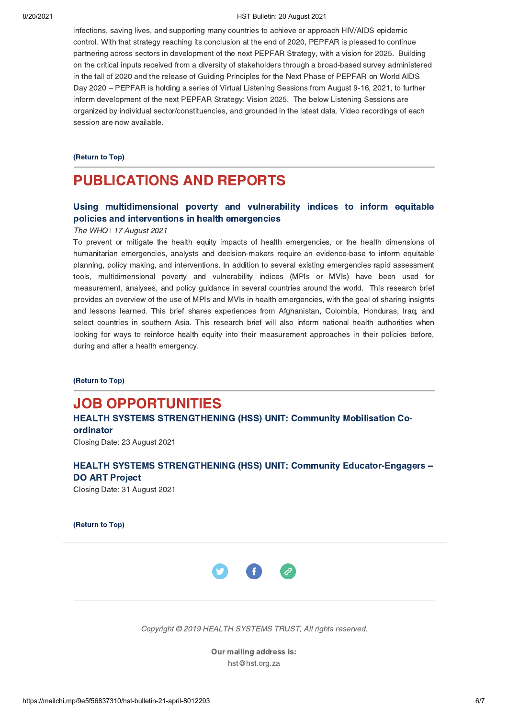#### 8/20/2021 HST Bulletin: 20 August 2021

infections, saving lives, and supporting many countries to achieve or approach HIV/AIDS epidemic control. With that strategy reaching its conclusion at the end of 2020, PEPFAR is pleased to continue partnering across sectors in development of the next PEPFAR Strategy, with a vision for 2025. Building on the critical inputs received from a diversity of stakeholders through a broad-based survey administered in the fall of 2020 and the release of Guiding Principles for the Next Phase of PEPFAR on World AIDS Day 2020 – PEPFAR is holding a series of Virtual Listening Sessions from August 9-16, 2021, to further inform development of the next PEPFAR Strategy: Vision 2025. The below Listening Sessions are organized by individual sector/constituencies, and grounded in the latest data. Video recordings of each session are now available.

#### [\(Return to Top\)](#page-0-1)

# PUBLICATIONS AND REPORTS

# [Using multidimensional poverty and vulnerability indices to inform equitable](https://www.who.int/publications/i/item/9789240031852) policies and interventions in health emergencies

### The WHO | 17 August 2021

To prevent or mitigate the health equity impacts of health emergencies, or the health dimensions of humanitarian emergencies, analysts and decision-makers require an evidence-base to inform equitable planning, policy making, and interventions. In addition to several existing emergencies rapid assessment tools, multidimensional poverty and vulnerability indices (MPIs or MVIs) have been used for measurement, analyses, and policy guidance in several countries around the world. This research brief provides an overview of the use of MPIs and MVIs in health emergencies, with the goal of sharing insights and lessons learned. This brief shares experiences from Afghanistan, Colombia, Honduras, Iraq, and select countries in southern Asia. This research brief will also inform national health authorities when looking for ways to reinforce health equity into their measurement approaches in their policies before, during and after a health emergency.

[\(Return to Top\)](#page-0-1)

# <span id="page-5-0"></span>JOB OPPORTUNITIES

# [HEALTH SYSTEMS STRENGTHENING \(HSS\) UNIT: Community Mobilisation Co](https://www.hst.org.za/Pages/Community-Mobilisation-Co-ordinator.aspx)ordinator

Closing Date: 23 August 2021

# [HEALTH SYSTEMS STRENGTHENING \(HSS\) UNIT: Community Educator-Engagers –](https://www.hst.org.za/Pages/Community-Educator-Engagers-%E2%80%92-DO-ART-Project.aspx) DO ART Project

Closing Date: 31 August 2021

[\(Return to Top\)](#page-0-1)



Copyright © 2019 HEALTH SYSTEMS TRUST, All rights reserved.

Our mailing address is: hst@hst.org.za